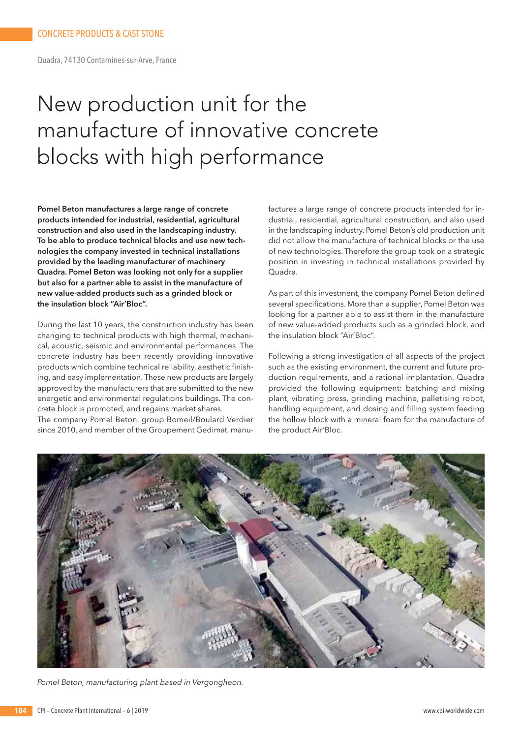Quadra, 74130 Contamines-sur-Arve, France

# New production unit for the manufacture of innovative concrete blocks with high performance

**Pomel Beton manufactures a large range of concrete products intended for industrial, residential, agricultural construction and also used in the landscaping industry. To be able to produce technical blocks and use new technologies the company invested in technical installations provided by the leading manufacturer of machinery Quadra. Pomel Beton was looking not only for a supplier but also for a partner able to assist in the manufacture of new value-added products such as a grinded block or the insulation block "Air'Bloc".** 

During the last 10 years, the construction industry has been changing to technical products with high thermal, mechanical, acoustic, seismic and environmental performances. The concrete industry has been recently providing innovative products which combine technical reliability, aesthetic finishing, and easy implementation. These new products are largely approved by the manufacturers that are submitted to the new energetic and environmental regulations buildings. The concrete block is promoted, and regains market shares.

The company Pomel Beton, group Bomeil/Boulard Verdier since 2010, and member of the Groupement Gedimat, manufactures a large range of concrete products intended for industrial, residential, agricultural construction, and also used in the landscaping industry. Pomel Beton's old production unit did not allow the manufacture of technical blocks or the use of new technologies. Therefore the group took on a strategic position in investing in technical installations provided by Quadra.

As part of this investment, the company Pomel Beton defined several specifications. More than a supplier, Pomel Beton was looking for a partner able to assist them in the manufacture of new value-added products such as a grinded block, and the insulation block "Air'Bloc".

Following a strong investigation of all aspects of the project such as the existing environment, the current and future production requirements, and a rational implantation, Quadra provided the following equipment: batching and mixing plant, vibrating press, grinding machine, palletising robot, handling equipment, and dosing and filling system feeding the hollow block with a mineral foam for the manufacture of the product Air'Bloc.



*Pomel Beton, manufacturing plant based in Vergongheon.*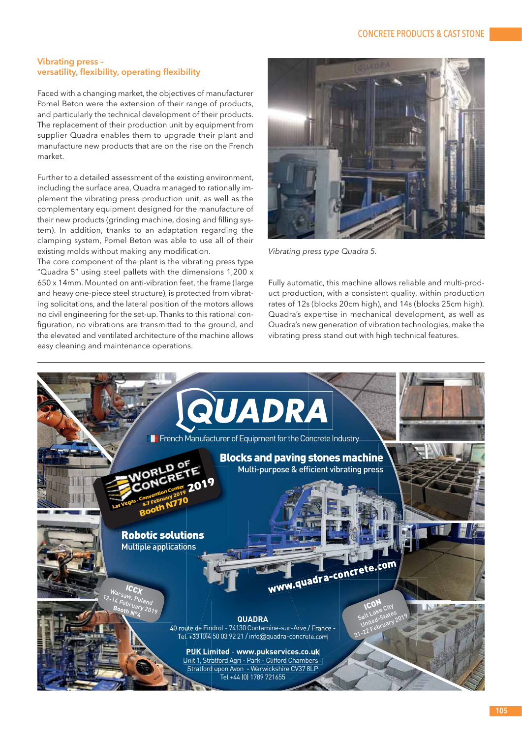#### **Vibrating press – versatility, flexibility, operating flexibility**

Faced with a changing market, the objectives of manufacturer Pomel Beton were the extension of their range of products, and particularly the technical development of their products. The replacement of their production unit by equipment from supplier Quadra enables them to upgrade their plant and manufacture new products that are on the rise on the French market.

Further to a detailed assessment of the existing environment, including the surface area, Quadra managed to rationally implement the vibrating press production unit, as well as the complementary equipment designed for the manufacture of their new products (grinding machine, dosing and filling system). In addition, thanks to an adaptation regarding the clamping system, Pomel Beton was able to use all of their existing molds without making any modification.

The core component of the plant is the vibrating press type "Quadra 5" using steel pallets with the dimensions 1,200 x 650 x 14mm. Mounted on anti-vibration feet, the frame (large and heavy one-piece steel structure), is protected from vibrating solicitations, and the lateral position of the motors allows no civil engineering for the set-up. Thanks to this rational configuration, no vibrations are transmitted to the ground, and the elevated and ventilated architecture of the machine allows easy cleaning and maintenance operations.



*Vibrating press type Quadra 5.*

Fully automatic, this machine allows reliable and multi-product production, with a consistent quality, within production rates of 12s (blocks 20cm high), and 14s (blocks 25cm high). Quadra's expertise in mechanical development, as well as Quadra's new generation of vibration technologies, make the vibrating press stand out with high technical features.

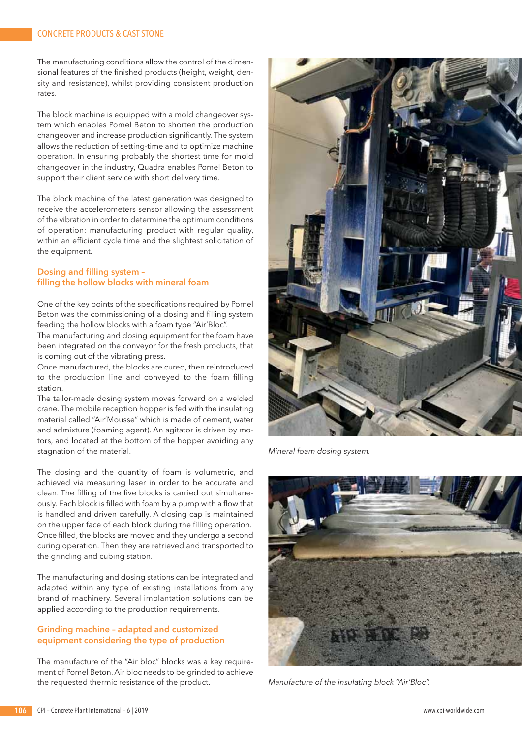## CONCRETE PRODUCTS & CAST STONE

The manufacturing conditions allow the control of the dimensional features of the finished products (height, weight, density and resistance), whilst providing consistent production rates.

The block machine is equipped with a mold changeover system which enables Pomel Beton to shorten the production changeover and increase production significantly. The system allows the reduction of setting-time and to optimize machine operation. In ensuring probably the shortest time for mold changeover in the industry, Quadra enables Pomel Beton to support their client service with short delivery time.

The block machine of the latest generation was designed to receive the accelerometers sensor allowing the assessment of the vibration in order to determine the optimum conditions of operation: manufacturing product with regular quality, within an efficient cycle time and the slightest solicitation of the equipment.

#### **Dosing and filling system – filling the hollow blocks with mineral foam**

One of the key points of the specifications required by Pomel Beton was the commissioning of a dosing and filling system feeding the hollow blocks with a foam type "Air'Bloc".

The manufacturing and dosing equipment for the foam have been integrated on the conveyor for the fresh products, that is coming out of the vibrating press.

Once manufactured, the blocks are cured, then reintroduced to the production line and conveyed to the foam filling station.

The tailor-made dosing system moves forward on a welded crane. The mobile reception hopper is fed with the insulating material called "Air'Mousse" which is made of cement, water and admixture (foaming agent). An agitator is driven by motors, and located at the bottom of the hopper avoiding any stagnation of the material.

The dosing and the quantity of foam is volumetric, and achieved via measuring laser in order to be accurate and clean. The filling of the five blocks is carried out simultaneously. Each block is filled with foam by a pump with a flow that is handled and driven carefully. A closing cap is maintained on the upper face of each block during the filling operation. Once filled, the blocks are moved and they undergo a second curing operation. Then they are retrieved and transported to the grinding and cubing station.

The manufacturing and dosing stations can be integrated and adapted within any type of existing installations from any brand of machinery. Several implantation solutions can be applied according to the production requirements.

#### **Grinding machine – adapted and customized equipment considering the type of production**

The manufacture of the "Air bloc" blocks was a key requirement of Pomel Beton. Air bloc needs to be grinded to achieve the requested thermic resistance of the product.



*Mineral foam dosing system.*



*Manufacture of the insulating block "Air'Bloc".*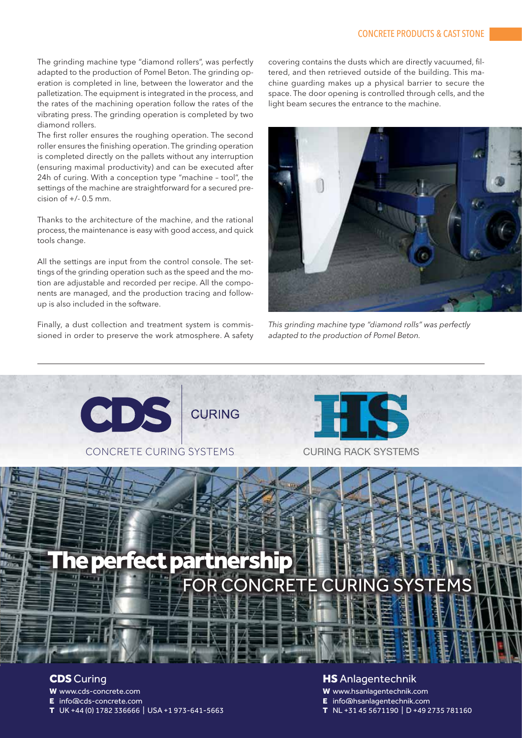The grinding machine type "diamond rollers", was perfectly adapted to the production of Pomel Beton. The grinding operation is completed in line, between the lowerator and the palletization. The equipment is integrated in the process, and the rates of the machining operation follow the rates of the vibrating press. The grinding operation is completed by two diamond rollers.

The first roller ensures the roughing operation. The second roller ensures the finishing operation. The grinding operation is completed directly on the pallets without any interruption (ensuring maximal productivity) and can be executed after 24h of curing. With a conception type "machine – tool", the settings of the machine are straightforward for a secured precision of +/- 0.5 mm.

Thanks to the architecture of the machine, and the rational process, the maintenance is easy with good access, and quick tools change.

All the settings are input from the control console. The settings of the grinding operation such as the speed and the motion are adjustable and recorded per recipe. All the components are managed, and the production tracing and followup is also included in the software.

Finally, a dust collection and treatment system is commissioned in order to preserve the work atmosphere. A safety covering contains the dusts which are directly vacuumed, filtered, and then retrieved outside of the building. This machine guarding makes up a physical barrier to secure the space. The door opening is controlled through cells, and the light beam secures the entrance to the machine.



*This grinding machine type "diamond rolls" was perfectly adapted to the production of Pomel Beton.*



W www.cds-concrete.com

E info@cds-concrete.com

T UK +44 (0) 1782 336666 | USA +1 973-641-5663

W www.hsanlagentechnik.com

E info@hsanlagentechnik.com

T NL +31 45 5671190 | D +49 2735 781160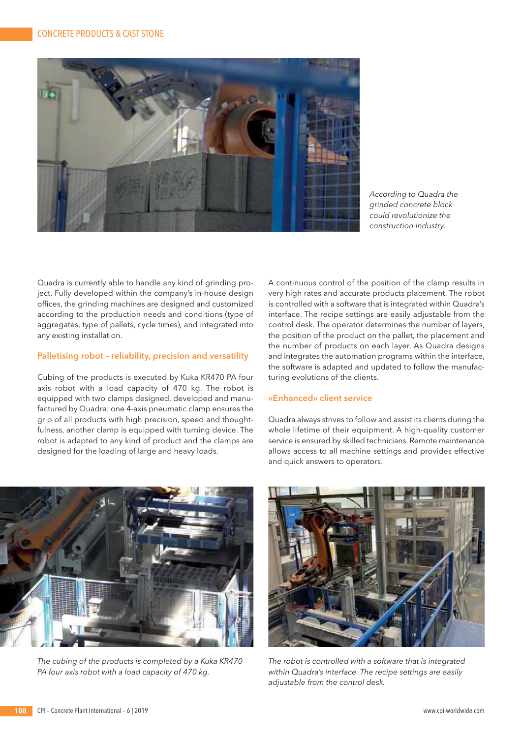

*According to Quadra the grinded concrete block could revolutionize the construction industry.*

Quadra is currently able to handle any kind of grinding project. Fully developed within the company's in-house design offices, the grinding machines are designed and customized according to the production needs and conditions (type of aggregates, type of pallets, cycle times), and integrated into any existing installation.

#### **Palletising robot – reliability, precision and versatility**

Cubing of the products is executed by Kuka KR470 PA four axis robot with a load capacity of 470 kg. The robot is equipped with two clamps designed, developed and manufactured by Quadra: one 4-axis pneumatic clamp ensures the grip of all products with high precision, speed and thoughtfulness, another clamp is equipped with turning device. The robot is adapted to any kind of product and the clamps are designed for the loading of large and heavy loads.

A continuous control of the position of the clamp results in very high rates and accurate products placement. The robot is controlled with a software that is integrated within Quadra's interface. The recipe settings are easily adjustable from the control desk. The operator determines the number of layers, the position of the product on the pallet, the placement and the number of products on each layer. As Quadra designs and integrates the automation programs within the interface, the software is adapted and updated to follow the manufacturing evolutions of the clients.

### **«Enhanced» client service**

Quadra always strives to follow and assist its clients during the whole lifetime of their equipment. A high-quality customer service is ensured by skilled technicians. Remote maintenance allows access to all machine settings and provides effective and quick answers to operators.



*The cubing of the products is completed by a Kuka KR470 PA four axis robot with a load capacity of 470 kg.*



*The robot is controlled with a software that is integrated within Quadra's interface. The recipe settings are easily adjustable from the control desk.*